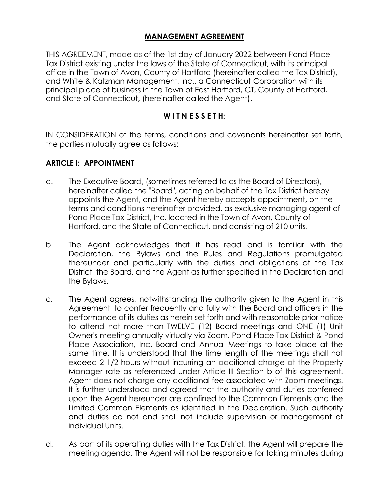# **MANAGEMENT AGREEMENT**

THIS AGREEMENT, made as of the 1st day of January 2022 between Pond Place Tax District existing under the laws of the State of Connecticut, with its principal office in the Town of Avon, County of Hartford (hereinafter called the Tax District), and White & Katzman Management, Inc., a Connecticut Corporation with its principal place of business in the Town of East Hartford, CT, County of Hartford, and State of Connecticut, (hereinafter called the Agent).

#### **W I T N E S S E T H:**

IN CONSIDERATION of the terms, conditions and covenants hereinafter set forth, the parties mutually agree as follows:

#### **ARTICLE I: APPOINTMENT**

- a. The Executive Board, (sometimes referred to as the Board of Directors), hereinafter called the "Board", acting on behalf of the Tax District hereby appoints the Agent, and the Agent hereby accepts appointment, on the terms and conditions hereinafter provided, as exclusive managing agent of Pond Place Tax District, Inc. located in the Town of Avon, County of Hartford, and the State of Connecticut, and consisting of 210 units.
- b. The Agent acknowledges that it has read and is familiar with the Declaration, the Bylaws and the Rules and Regulations promulgated thereunder and particularly with the duties and obligations of the Tax District, the Board, and the Agent as further specified in the Declaration and the Bylaws.
- c. The Agent agrees, notwithstanding the authority given to the Agent in this Agreement, to confer frequently and fully with the Board and officers in the performance of its duties as herein set forth and with reasonable prior notice to attend not more than TWELVE (12) Board meetings and ONE (1) Unit Owner's meeting annually virtually via Zoom. Pond Place Tax District & Pond Place Association, Inc. Board and Annual Meetings to take place at the same time. It is understood that the time length of the meetings shall not exceed 2 1/2 hours without incurring an additional charge at the Property Manager rate as referenced under Article III Section b of this agreement. Agent does not charge any additional fee associated with Zoom meetings. It is further understood and agreed that the authority and duties conferred upon the Agent hereunder are confined to the Common Elements and the Limited Common Elements as identified in the Declaration. Such authority and duties do not and shall not include supervision or management of individual Units.
- d. As part of its operating duties with the Tax District, the Agent will prepare the meeting agenda. The Agent will not be responsible for taking minutes during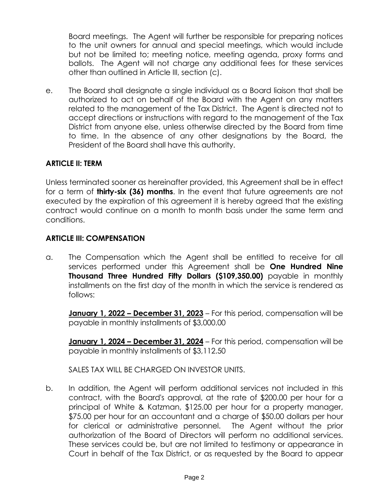Board meetings. The Agent will further be responsible for preparing notices to the unit owners for annual and special meetings, which would include but not be limited to; meeting notice, meeting agenda, proxy forms and ballots. The Agent will not charge any additional fees for these services other than outlined in Article III, section (c).

e. The Board shall designate a single individual as a Board liaison that shall be authorized to act on behalf of the Board with the Agent on any matters related to the management of the Tax District. The Agent is directed not to accept directions or instructions with regard to the management of the Tax District from anyone else, unless otherwise directed by the Board from time to time. In the absence of any other designations by the Board, the President of the Board shall have this authority.

### **ARTICLE II: TERM**

Unless terminated sooner as hereinafter provided, this Agreement shall be in effect for a term of **thirty-six (36) months**. In the event that future agreements are not executed by the expiration of this agreement it is hereby agreed that the existing contract would continue on a month to month basis under the same term and conditions.

#### **ARTICLE III: COMPENSATION**

a. The Compensation which the Agent shall be entitled to receive for all services performed under this Agreement shall be **One Hundred Nine Thousand Three Hundred Fifty Dollars (\$109,350.00)** payable in monthly installments on the first day of the month in which the service is rendered as follows:

**January 1, 2022 – December 31, 2023** – For this period, compensation will be payable in monthly installments of \$3,000.00

**January 1, 2024 - December 31, 2024** - For this period, compensation will be payable in monthly installments of \$3,112.50

SALES TAX WILL BE CHARGED ON INVESTOR UNITS.

b. In addition, the Agent will perform additional services not included in this contract, with the Board's approval, at the rate of \$200.00 per hour for a principal of White & Katzman, \$125.00 per hour for a property manager, \$75.00 per hour for an accountant and a charge of \$50.00 dollars per hour for clerical or administrative personnel. The Agent without the prior authorization of the Board of Directors will perform no additional services. These services could be, but are not limited to testimony or appearance in Court in behalf of the Tax District, or as requested by the Board to appear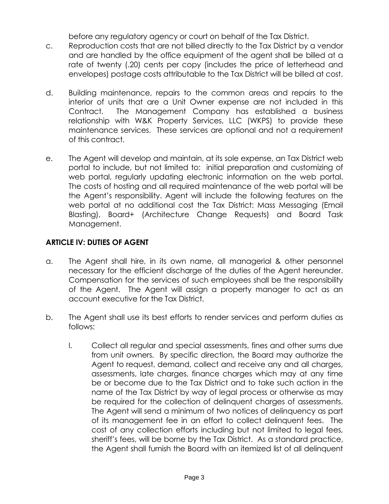before any regulatory agency or court on behalf of the Tax District.

- c. Reproduction costs that are not billed directly to the Tax District by a vendor and are handled by the office equipment of the agent shall be billed at a rate of twenty (.20) cents per copy (includes the price of letterhead and envelopes) postage costs attributable to the Tax District will be billed at cost.
- d. Building maintenance, repairs to the common areas and repairs to the interior of units that are a Unit Owner expense are not included in this Contract. The Management Company has established a business relationship with W&K Property Services, LLC (WKPS) to provide these maintenance services. These services are optional and not a requirement of this contract.
- e. The Agent will develop and maintain, at its sole expense, an Tax District web portal to include, but not limited to: initial preparation and customizing of web portal, regularly updating electronic information on the web portal. The costs of hosting and all required maintenance of the web portal will be the Agent's responsibility. Agent will include the following features on the web portal at no additional cost the Tax District: Mass Messaging (Email Blasting), Board+ (Architecture Change Requests) and Board Task Management.

# **ARTICLE IV: DUTIES OF AGENT**

- a. The Agent shall hire, in its own name, all managerial & other personnel necessary for the efficient discharge of the duties of the Agent hereunder. Compensation for the services of such employees shall be the responsibility of the Agent. The Agent will assign a property manager to act as an account executive for the Tax District.
- b. The Agent shall use its best efforts to render services and perform duties as follows:
	- l. Collect all regular and special assessments, fines and other sums due from unit owners. By specific direction, the Board may authorize the Agent to request, demand, collect and receive any and all charges, assessments, late charges, finance charges which may at any time be or become due to the Tax District and to take such action in the name of the Tax District by way of legal process or otherwise as may be required for the collection of delinquent charges of assessments. The Agent will send a minimum of two notices of delinquency as part of its management fee in an effort to collect delinquent fees. The cost of any collection efforts including but not limited to legal fees, sheriff's fees, will be borne by the Tax District. As a standard practice, the Agent shall furnish the Board with an itemized list of all delinquent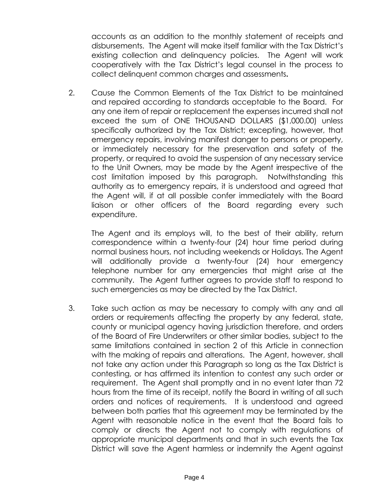accounts as an addition to the monthly statement of receipts and disbursements. The Agent will make itself familiar with the Tax District's existing collection and delinquency policies. The Agent will work cooperatively with the Tax District's legal counsel in the process to collect delinquent common charges and assessments**.**

2. Cause the Common Elements of the Tax District to be maintained and repaired according to standards acceptable to the Board. For any one item of repair or replacement the expenses incurred shall not exceed the sum of ONE THOUSAND DOLLARS (\$1,000.00) unless specifically authorized by the Tax District; excepting, however, that emergency repairs, involving manifest danger to persons or property, or immediately necessary for the preservation and safety of the property, or required to avoid the suspension of any necessary service to the Unit Owners, may be made by the Agent irrespective of the cost limitation imposed by this paragraph. Notwithstanding this authority as to emergency repairs, it is understood and agreed that the Agent will, if at all possible confer immediately with the Board liaison or other officers of the Board regarding every such expenditure.

The Agent and its employs will, to the best of their ability, return correspondence within a twenty-four (24) hour time period during normal business hours, not including weekends or Holidays. The Agent will additionally provide a twenty-four (24) hour emergency telephone number for any emergencies that might arise at the community. The Agent further agrees to provide staff to respond to such emergencies as may be directed by the Tax District.

3. Take such action as may be necessary to comply with any and all orders or requirements affecting the property by any federal, state, county or municipal agency having jurisdiction therefore, and orders of the Board of Fire Underwriters or other similar bodies, subject to the same limitations contained in section 2 of this Article in connection with the making of repairs and alterations. The Agent, however, shall not take any action under this Paragraph so long as the Tax District is contesting, or has affirmed its intention to contest any such order or requirement. The Agent shall promptly and in no event later than 72 hours from the time of its receipt, notify the Board in writing of all such orders and notices of requirements. It is understood and agreed between both parties that this agreement may be terminated by the Agent with reasonable notice in the event that the Board fails to comply or directs the Agent not to comply with regulations of appropriate municipal departments and that in such events the Tax District will save the Agent harmless or indemnify the Agent against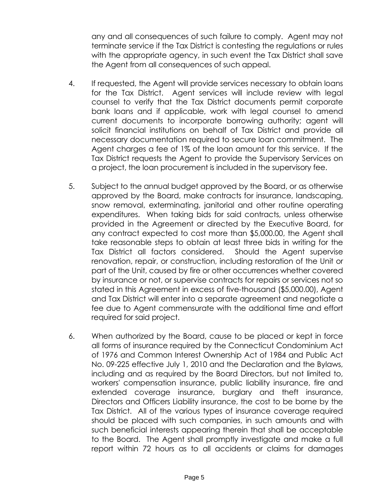any and all consequences of such failure to comply. Agent may not terminate service if the Tax District is contesting the regulations or rules with the appropriate agency, in such event the Tax District shall save the Agent from all consequences of such appeal.

- 4. If requested, the Agent will provide services necessary to obtain loans for the Tax District. Agent services will include review with legal counsel to verify that the Tax District documents permit corporate bank loans and if applicable, work with legal counsel to amend current documents to incorporate borrowing authority; agent will solicit financial institutions on behalf of Tax District and provide all necessary documentation required to secure loan commitment. The Agent charges a fee of 1% of the loan amount for this service. If the Tax District requests the Agent to provide the Supervisory Services on a project, the loan procurement is included in the supervisory fee.
- 5. Subject to the annual budget approved by the Board, or as otherwise approved by the Board, make contracts for insurance, landscaping, snow removal, exterminating, janitorial and other routine operating expenditures. When taking bids for said contracts, unless otherwise provided in the Agreement or directed by the Executive Board, for any contract expected to cost more than \$5,000.00, the Agent shall take reasonable steps to obtain at least three bids in writing for the Tax District all factors considered. Should the Agent supervise renovation, repair, or construction, including restoration of the Unit or part of the Unit, caused by fire or other occurrences whether covered by insurance or not, or supervise contracts for repairs or services not so stated in this Agreement in excess of five-thousand (\$5,000.00), Agent and Tax District will enter into a separate agreement and negotiate a fee due to Agent commensurate with the additional time and effort required for said project.
- 6. When authorized by the Board, cause to be placed or kept in force all forms of insurance required by the Connecticut Condominium Act of 1976 and Common Interest Ownership Act of 1984 and Public Act No. 09-225 effective July 1, 2010 and the Declaration and the Bylaws, including and as required by the Board Directors, but not limited to, workers' compensation insurance, public liability insurance, fire and extended coverage insurance, burglary and theft insurance, Directors and Officers Liability insurance, the cost to be borne by the Tax District. All of the various types of insurance coverage required should be placed with such companies, in such amounts and with such beneficial interests appearing therein that shall be acceptable to the Board. The Agent shall promptly investigate and make a full report within 72 hours as to all accidents or claims for damages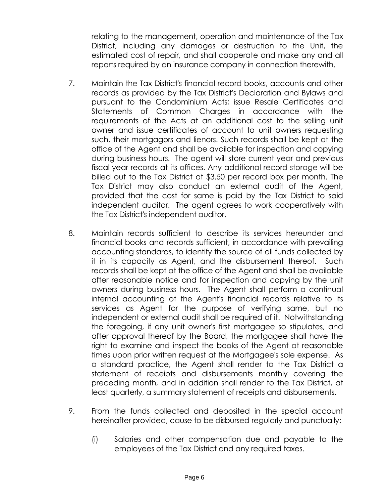relating to the management, operation and maintenance of the Tax District, including any damages or destruction to the Unit, the estimated cost of repair, and shall cooperate and make any and all reports required by an insurance company in connection therewith.

- 7. Maintain the Tax District's financial record books, accounts and other records as provided by the Tax District's Declaration and Bylaws and pursuant to the Condominium Acts; issue Resale Certificates and Statements of Common Charges in accordance with the requirements of the Acts at an additional cost to the selling unit owner and issue certificates of account to unit owners requesting such, their mortgagors and lienors. Such records shall be kept at the office of the Agent and shall be available for inspection and copying during business hours. The agent will store current year and previous fiscal year records at its offices. Any additional record storage will be billed out to the Tax District at \$3.50 per record box per month. The Tax District may also conduct an external audit of the Agent, provided that the cost for same is paid by the Tax District to said independent auditor. The agent agrees to work cooperatively with the Tax District's independent auditor.
- 8. Maintain records sufficient to describe its services hereunder and financial books and records sufficient, in accordance with prevailing accounting standards, to identify the source of all funds collected by it in its capacity as Agent, and the disbursement thereof. Such records shall be kept at the office of the Agent and shall be available after reasonable notice and for inspection and copying by the unit owners during business hours. The Agent shall perform a continual internal accounting of the Agent's financial records relative to its services as Agent for the purpose of verifying same, but no independent or external audit shall be required of it. Notwithstanding the foregoing, if any unit owner's first mortgagee so stipulates, and after approval thereof by the Board, the mortgagee shall have the right to examine and inspect the books of the Agent at reasonable times upon prior written request at the Mortgagee's sole expense. As a standard practice, the Agent shall render to the Tax District a statement of receipts and disbursements monthly covering the preceding month, and in addition shall render to the Tax District, at least quarterly, a summary statement of receipts and disbursements.
- 9. From the funds collected and deposited in the special account hereinafter provided, cause to be disbursed regularly and punctually:
	- (i) Salaries and other compensation due and payable to the employees of the Tax District and any required taxes.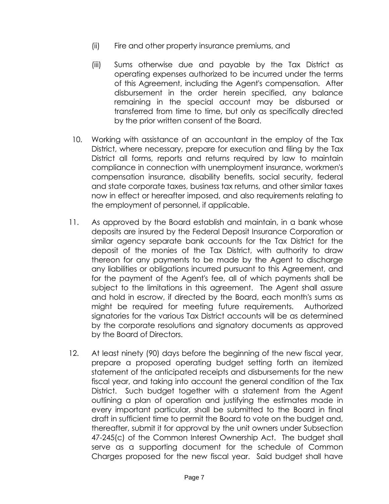- (ii) Fire and other property insurance premiums, and
- (iii) Sums otherwise due and payable by the Tax District as operating expenses authorized to be incurred under the terms of this Agreement, including the Agent's compensation. After disbursement in the order herein specified, any balance remaining in the special account may be disbursed or transferred from time to time, but only as specifically directed by the prior written consent of the Board.
- 10. Working with assistance of an accountant in the employ of the Tax District, where necessary, prepare for execution and filing by the Tax District all forms, reports and returns required by law to maintain compliance in connection with unemployment insurance, workmen's compensation insurance, disability benefits, social security, federal and state corporate taxes, business tax returns, and other similar taxes now in effect or hereafter imposed, and also requirements relating to the employment of personnel, if applicable.
- 11. As approved by the Board establish and maintain, in a bank whose deposits are insured by the Federal Deposit Insurance Corporation or similar agency separate bank accounts for the Tax District for the deposit of the monies of the Tax District, with authority to draw thereon for any payments to be made by the Agent to discharge any liabilities or obligations incurred pursuant to this Agreement, and for the payment of the Agent's fee, all of which payments shall be subject to the limitations in this agreement. The Agent shall assure and hold in escrow, if directed by the Board, each month's sums as might be required for meeting future requirements. Authorized signatories for the various Tax District accounts will be as determined by the corporate resolutions and signatory documents as approved by the Board of Directors.
- 12. At least ninety (90) days before the beginning of the new fiscal year, prepare a proposed operating budget setting forth an itemized statement of the anticipated receipts and disbursements for the new fiscal year, and taking into account the general condition of the Tax District. Such budget together with a statement from the Agent outlining a plan of operation and justifying the estimates made in every important particular, shall be submitted to the Board in final draft in sufficient time to permit the Board to vote on the budget and, thereafter, submit it for approval by the unit owners under Subsection 47-245(c) of the Common Interest Ownership Act. The budget shall serve as a supporting document for the schedule of Common Charges proposed for the new fiscal year. Said budget shall have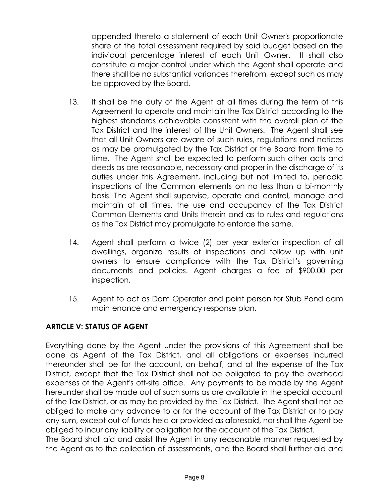appended thereto a statement of each Unit Owner's proportionate share of the total assessment required by said budget based on the individual percentage interest of each Unit Owner. It shall also constitute a major control under which the Agent shall operate and there shall be no substantial variances therefrom, except such as may be approved by the Board.

- 13. It shall be the duty of the Agent at all times during the term of this Agreement to operate and maintain the Tax District according to the highest standards achievable consistent with the overall plan of the Tax District and the interest of the Unit Owners. The Agent shall see that all Unit Owners are aware of such rules, regulations and notices as may be promulgated by the Tax District or the Board from time to time. The Agent shall be expected to perform such other acts and deeds as are reasonable, necessary and proper in the discharge of its duties under this Agreement, including but not limited to, periodic inspections of the Common elements on no less than a bi-monthly basis. The Agent shall supervise, operate and control, manage and maintain at all times, the use and occupancy of the Tax District Common Elements and Units therein and as to rules and regulations as the Tax District may promulgate to enforce the same.
- 14. Agent shall perform a twice (2) per year exterior inspection of all dwellings, organize results of inspections and follow up with unit owners to ensure compliance with the Tax District's governing documents and policies. Agent charges a fee of \$900.00 per inspection.
- 15. Agent to act as Dam Operator and point person for Stub Pond dam maintenance and emergency response plan.

# **ARTICLE V: STATUS OF AGENT**

Everything done by the Agent under the provisions of this Agreement shall be done as Agent of the Tax District, and all obligations or expenses incurred thereunder shall be for the account, on behalf, and at the expense of the Tax District, except that the Tax District shall not be obligated to pay the overhead expenses of the Agent's off-site office. Any payments to be made by the Agent hereunder shall be made out of such sums as are available in the special account of the Tax District, or as may be provided by the Tax District. The Agent shall not be obliged to make any advance to or for the account of the Tax District or to pay any sum, except out of funds held or provided as aforesaid, nor shall the Agent be obliged to incur any liability or obligation for the account of the Tax District.

The Board shall aid and assist the Agent in any reasonable manner requested by the Agent as to the collection of assessments, and the Board shall further aid and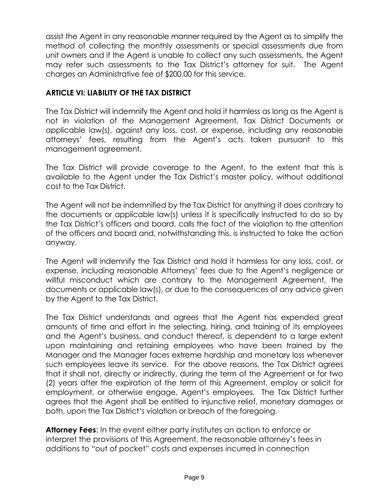assist the Agent in any reasonable manner required by the Agent as to simplify the method of collecting the monthly assessments or special assessments due from unit owners and if the Agent is unable to collect any such assessments, the Agent may refer such assessments to the Tax District's attorney for suit. The Agent charges an Administrative fee of \$200.00 for this service.

# **ARTICLE VI: LIABILITY OF THE TAX DISTRICT**

The Tax District will indemnify the Agent and hold it harmless as long as the Agent is not in violation of the Management Agreement, Tax District Documents or applicable law(s), against any loss, cost, or expense, including any reasonable attorneys' fees, resulting from the Agent's acts taken pursuant to this management agreement.

The Tax District will provide coverage to the Agent, to the extent that this is available to the Agent under the Tax District's master policy, without additional cost to the Tax District.

The Agent will not be indemnified by the Tax District for anything it does contrary to the documents or applicable law(s) unless it is specifically instructed to do so by the Tax District's officers and board, calls the fact of the violation to the attention of the officers and board and, notwithstanding this, is instructed to take the action anyway.

The Agent will indemnify the Tax District and hold it harmless for any loss, cost, or expense, including reasonable Attorneys' fees due to the Agent's negligence or willful misconduct which are contrary to the Management Agreement, the documents or applicable law(s), or due to the consequences of any advice given by the Agent to the Tax District.

The Tax District understands and agrees that the Agent has expended great amounts of time and effort in the selecting, hiring, and training of its employees and the Agent's business, and conduct thereof, is dependent to a large extent upon maintaining and retaining employees who have been trained by the Manager and the Manager faces extreme hardship and monetary loss whenever such employees leave its service. For the above reasons, the Tax District agrees that it shall not, directly or indirectly, during the term of the Agreement or for two (2) years after the expiration of the term of this Agreement, employ or solicit for employment, or otherwise engage, Agent's employees. The Tax District further agrees that the Agent shall be entitled to injunctive relief, monetary damages or both, upon the Tax District's violation or breach of the foregoing.

**Attorney Fees**: In the event either party institutes an action to enforce or interpret the provisions of this Agreement, the reasonable attorney's fees in additions to "out of pocket" costs and expenses incurred in connection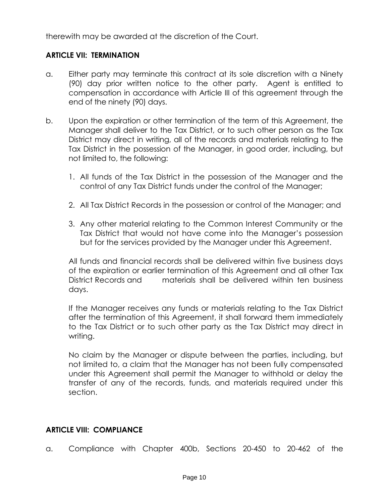therewith may be awarded at the discretion of the Court.

### **ARTICLE VII: TERMINATION**

- a. Either party may terminate this contract at its sole discretion with a Ninety (90) day prior written notice to the other party. Agent is entitled to compensation in accordance with Article III of this agreement through the end of the ninety (90) days.
- b. Upon the expiration or other termination of the term of this Agreement, the Manager shall deliver to the Tax District, or to such other person as the Tax District may direct in writing, all of the records and materials relating to the Tax District in the possession of the Manager, in good order, including, but not limited to, the following:
	- 1. All funds of the Tax District in the possession of the Manager and the control of any Tax District funds under the control of the Manager;
	- 2. All Tax District Records in the possession or control of the Manager; and
	- 3. Any other material relating to the Common Interest Community or the Tax District that would not have come into the Manager's possession but for the services provided by the Manager under this Agreement.

All funds and financial records shall be delivered within five business days of the expiration or earlier termination of this Agreement and all other Tax District Records and materials shall be delivered within ten business days.

If the Manager receives any funds or materials relating to the Tax District after the termination of this Agreement, it shall forward them immediately to the Tax District or to such other party as the Tax District may direct in writing.

No claim by the Manager or dispute between the parties, including, but not limited to, a claim that the Manager has not been fully compensated under this Agreement shall permit the Manager to withhold or delay the transfer of any of the records, funds, and materials required under this section.

#### **ARTICLE VIII: COMPLIANCE**

a. Compliance with Chapter 400b, Sections 20-450 to 20-462 of the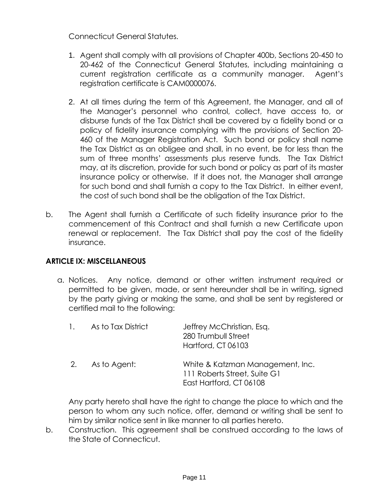Connecticut General Statutes.

- 1. Agent shall comply with all provisions of Chapter 400b, Sections 20-450 to 20-462 of the Connecticut General Statutes, including maintaining a current registration certificate as a community manager. Agent's registration certificate is CAM0000076.
- 2. At all times during the term of this Agreement, the Manager, and all of the Manager's personnel who control, collect, have access to, or disburse funds of the Tax District shall be covered by a fidelity bond or a policy of fidelity insurance complying with the provisions of Section 20- 460 of the Manager Registration Act. Such bond or policy shall name the Tax District as an obligee and shall, in no event, be for less than the sum of three months' assessments plus reserve funds. The Tax District may, at its discretion, provide for such bond or policy as part of its master insurance policy or otherwise. If it does not, the Manager shall arrange for such bond and shall furnish a copy to the Tax District. In either event, the cost of such bond shall be the obligation of the Tax District.
- b. The Agent shall furnish a Certificate of such fidelity insurance prior to the commencement of this Contract and shall furnish a new Certificate upon renewal or replacement. The Tax District shall pay the cost of the fidelity insurance.

### **ARTICLE IX: MISCELLANEOUS**

a. Notices. Any notice, demand or other written instrument required or permitted to be given, made, or sent hereunder shall be in writing, signed by the party giving or making the same, and shall be sent by registered or certified mail to the following:

| 1. As to Tax District | Jeffrey McChristian, Esq.<br>280 Trumbull Street<br><b>Hartford, CT 06103</b>               |
|-----------------------|---------------------------------------------------------------------------------------------|
| 2. As to Agent:       | White & Katzman Management, Inc.<br>111 Roberts Street, Suite G1<br>East Hartford, CT 06108 |

Any party hereto shall have the right to change the place to which and the person to whom any such notice, offer, demand or writing shall be sent to him by similar notice sent in like manner to all parties hereto.

b. Construction. This agreement shall be construed according to the laws of the State of Connecticut.